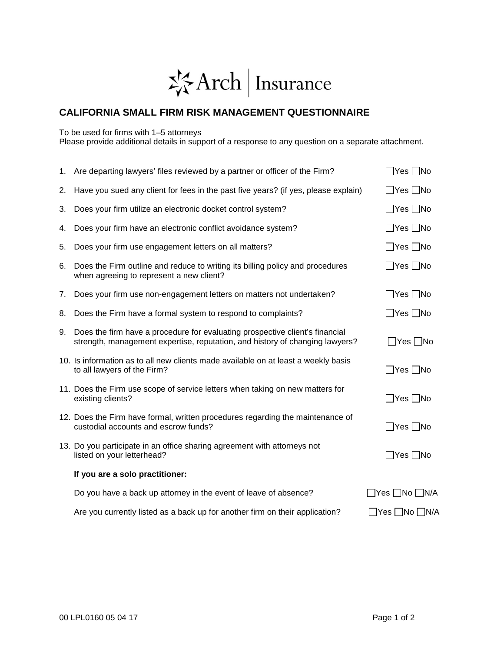## 岑Arch | Insurance

## **CALIFORNIA SMALL FIRM RISK MANAGEMENT QUESTIONNAIRE**

To be used for firms with 1–5 attorneys

Please provide additional details in support of a response to any question on a separate attachment.

|    | 1. Are departing lawyers' files reviewed by a partner or officer of the Firm?                                                                                | $\Box$ Yes $\Box$ No |
|----|--------------------------------------------------------------------------------------------------------------------------------------------------------------|----------------------|
| 2. | Have you sued any client for fees in the past five years? (if yes, please explain)                                                                           | $\Box$ Yes $\Box$ No |
| 3. | Does your firm utilize an electronic docket control system?                                                                                                  | □Yes □No             |
| 4. | Does your firm have an electronic conflict avoidance system?                                                                                                 | ∐Yes □No             |
| 5. | Does your firm use engagement letters on all matters?                                                                                                        | ∐Yes ∏No             |
| 6. | Does the Firm outline and reduce to writing its billing policy and procedures<br>when agreeing to represent a new client?                                    | $\Box$ Yes $\Box$ No |
| 7. | Does your firm use non-engagement letters on matters not undertaken?                                                                                         | $\Box$ Yes $\Box$ No |
| 8. | Does the Firm have a formal system to respond to complaints?                                                                                                 | □Yes □No             |
| 9. | Does the firm have a procedure for evaluating prospective client's financial<br>strength, management expertise, reputation, and history of changing lawyers? | $\Box$ Yes $\Box$ No |
|    | 10. Is information as to all new clients made available on at least a weekly basis<br>to all lawyers of the Firm?                                            | □Yes □No             |
|    | 11. Does the Firm use scope of service letters when taking on new matters for<br>existing clients?                                                           | $\Box$ Yes $\Box$ No |
|    | 12. Does the Firm have formal, written procedures regarding the maintenance of<br>custodial accounts and escrow funds?                                       | $\Box$ Yes $\Box$ No |
|    | 13. Do you participate in an office sharing agreement with attorneys not<br>listed on your letterhead?                                                       | Yes    No            |
|    | If you are a solo practitioner:                                                                                                                              |                      |
|    | Do you have a back up attorney in the event of leave of absence?                                                                                             | ̄ Yes ┌ │No ┌ │N/A   |
|    | Are you currently listed as a back up for another firm on their application?                                                                                 |                      |